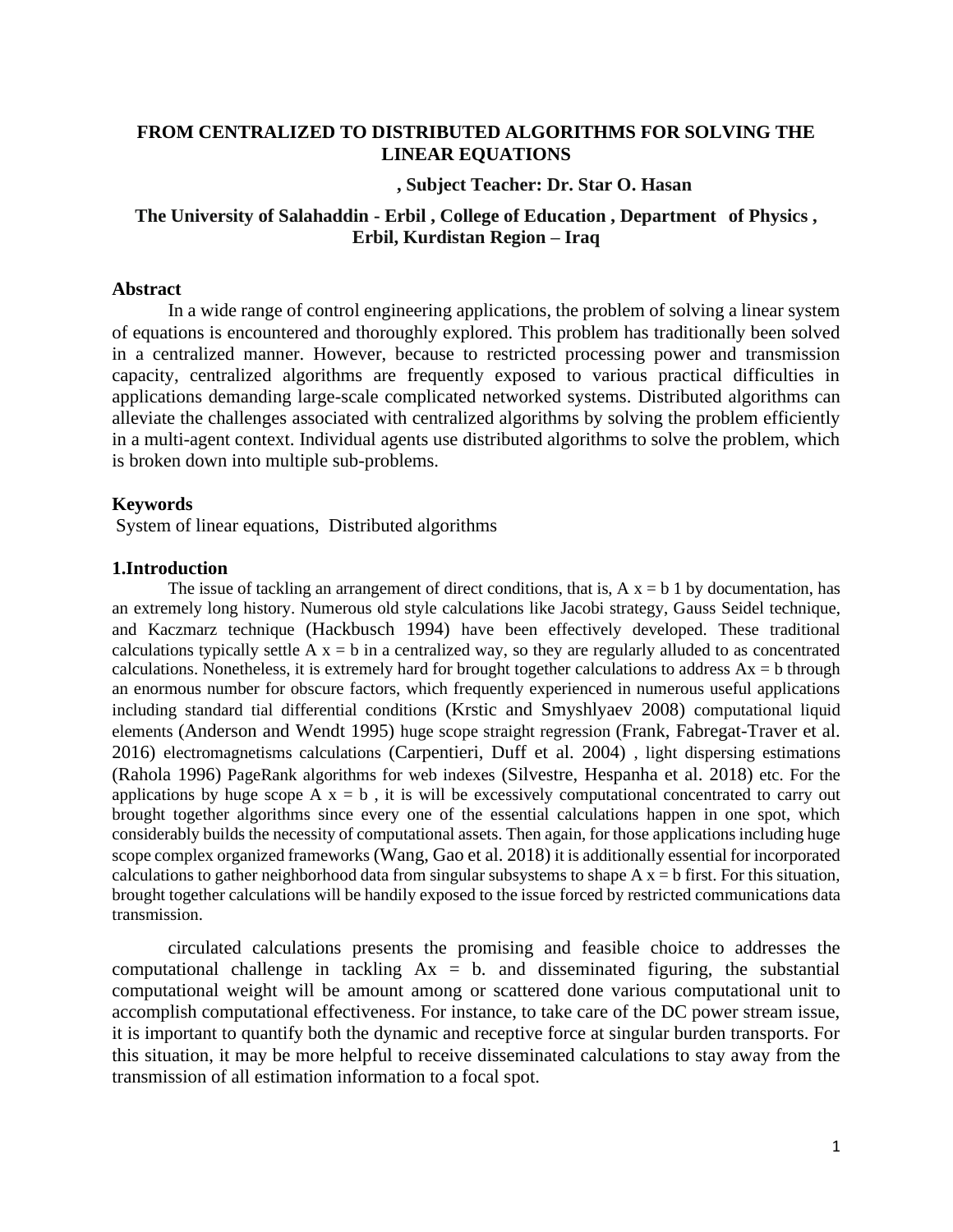# **FROM CENTRALIZED TO DISTRIBUTED ALGORITHMS FOR SOLVING THE LINEAR EQUATIONS**

## **Aso F. Mohamed, Subject Teacher: Dr. Star O. Hasan**

# **The University of Salahaddin - Erbil , College of Education , Departments of Physics , Erbil, Kurdistan Region – Iraq**

## **Abstract**

In a wide range of control engineering applications, the problem of solving a linear system of equations is encountered and thoroughly explored. This problem has traditionally been solved in a centralized manner. However, because to restricted processing power and transmission capacity, centralized algorithms are frequently exposed to various practical difficulties in applications demanding large-scale complicated networked systems. Distributed algorithms can alleviate the challenges associated with centralized algorithms by solving the problem efficiently in a multi-agent context. Individual agents use distributed algorithms to solve the problem, which is broken down into multiple sub-problems.

## **Keywords**

System of linear equations, Distributed algorithms

## **1.Introduction**

The issue of tackling an arrangement of direct conditions, that is,  $A x = b 1$  by documentation, has an extremely long history. Numerous old style calculations like Jacobi strategy, Gauss Seidel technique, and Kaczmarz technique (Hackbusch 1994) have been effectively developed. These traditional calculations typically settle A  $x = b$  in a centralized way, so they are regularly alluded to as concentrated calculations. Nonetheless, it is extremely hard for brought together calculations to address  $Ax = b$  through an enormous number for obscure factors, which frequently experienced in numerous useful applications including standard tial differential conditions (Krstic and Smyshlyaev 2008) computational liquid elements (Anderson and Wendt 1995) huge scope straight regression (Frank, Fabregat-Traver et al. 2016) electromagnetisms calculations (Carpentieri, Duff et al. 2004) , light dispersing estimations (Rahola 1996) PageRank algorithms for web indexes (Silvestre, Hespanha et al. 2018) etc. For the applications by huge scope  $A x = b$ , it is will be excessively computational concentrated to carry out brought together algorithms since every one of the essential calculations happen in one spot, which considerably builds the necessity of computational assets. Then again, for those applications including huge scope complex organized frameworks (Wang, Gao et al. 2018) it is additionally essential for incorporated calculations to gather neighborhood data from singular subsystems to shape  $A x = b$  first. For this situation, brought together calculations will be handily exposed to the issue forced by restricted communications data transmission.

circulated calculations presents the promising and feasible choice to addresses the computational challenge in tackling  $Ax = b$ . and disseminated figuring, the substantial computational weight will be amount among or scattered done various computational unit to accomplish computational effectiveness. For instance, to take care of the DC power stream issue, it is important to quantify both the dynamic and receptive force at singular burden transports. For this situation, it may be more helpful to receive disseminated calculations to stay away from the transmission of all estimation information to a focal spot.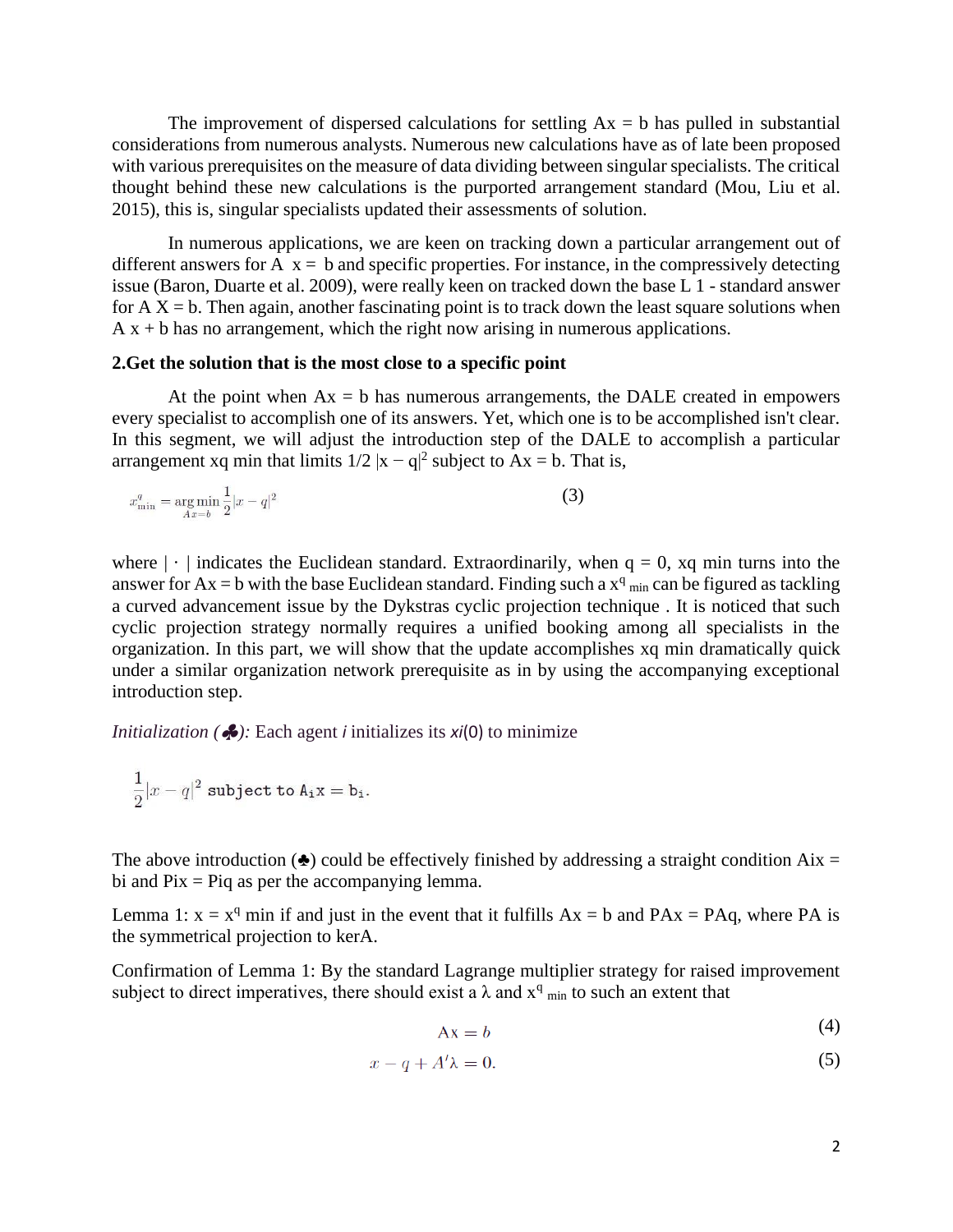The improvement of dispersed calculations for settling  $Ax = b$  has pulled in substantial considerations from numerous analysts. Numerous new calculations have as of late been proposed with various prerequisites on the measure of data dividing between singular specialists. The critical thought behind these new calculations is the purported arrangement standard (Mou, Liu et al. 2015), this is, singular specialists updated their assessments of solution.

In numerous applications, we are keen on tracking down a particular arrangement out of different answers for A  $x = b$  and specific properties. For instance, in the compressively detecting issue (Baron, Duarte et al. 2009), were really keen on tracked down the base L 1 - standard answer for  $AX = b$ . Then again, another fascinating point is to track down the least square solutions when  $A x + b$  has no arrangement, which the right now arising in numerous applications.

## **2.Get the solution that is the most close to a specific point**

At the point when  $Ax = b$  has numerous arrangements, the DALE created in empowers every specialist to accomplish one of its answers. Yet, which one is to be accomplished isn't clear. In this segment, we will adjust the introduction step of the DALE to accomplish a particular arrangement xq min that limits  $1/2 |x - q|^2$  subject to  $Ax = b$ . That is,

$$
x_{\min}^q = \underset{Ax=b}{\arg \min} \frac{1}{2} |x - q|^2
$$
 (3)

where  $|\cdot|$  indicates the Euclidean standard. Extraordinarily, when  $q = 0$ , xq min turns into the answer for  $Ax = b$  with the base Euclidean standard. Finding such a  $x^q$  min can be figured as tackling a curved advancement issue by the Dykstras cyclic projection technique . It is noticed that such cyclic projection strategy normally requires a unified booking among all specialists in the organization. In this part, we will show that the update accomplishes xq min dramatically quick under a similar organization network prerequisite as in by using the accompanying exceptional introduction step.

*Initialization* ( $\clubsuit$ ): Each agent *i* initializes its *xi*(0) to minimize

$$
\frac{1}{2}|x-q|^2
$$
 subject to  $A_1x = b_1$ .

The above introduction  $(•)$  could be effectively finished by addressing a straight condition Aix = bi and  $Pix = Piq$  as per the accompanying lemma.

Lemma 1:  $x = x<sup>q</sup>$  min if and just in the event that it fulfills  $Ax = b$  and  $PAx = PAq$ , where PA is the symmetrical projection to kerA.

Confirmation of Lemma 1: By the standard Lagrange multiplier strategy for raised improvement subject to direct imperatives, there should exist a  $\lambda$  and  $x^q$  min to such an extent that

$$
Ax = b \tag{4}
$$

$$
x - q + A'\lambda = 0.\t\t(5)
$$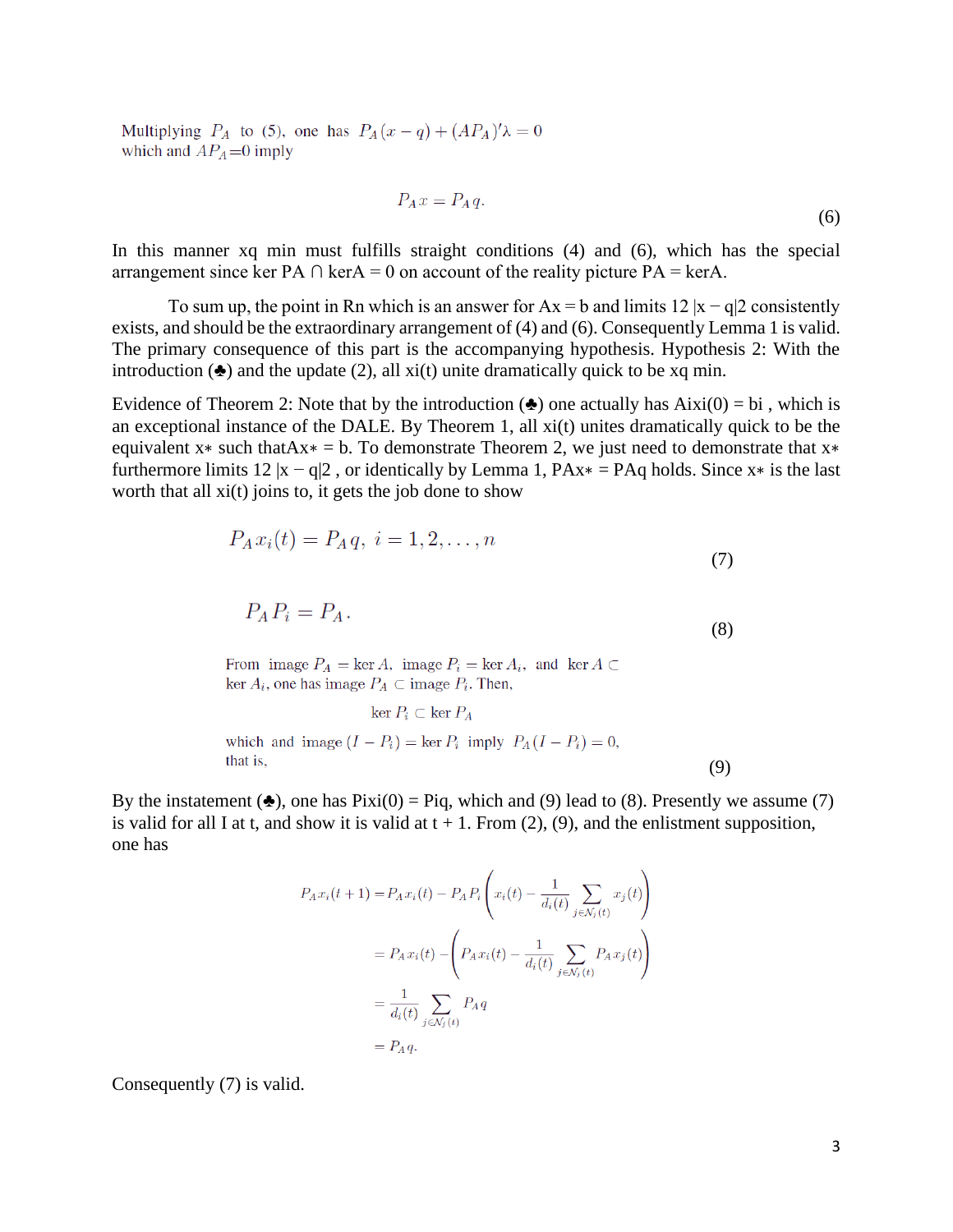Multiplying  $P_A$  to (5), one has  $P_A(x-q) + (AP_A)' \lambda = 0$ which and  $AP_A = 0$  imply

 $\sqrt{ }$ 

$$
P_A x = P_A q. \tag{6}
$$

In this manner xq min must fulfills straight conditions (4) and (6), which has the special arrangement since ker PA  $\cap$  kerA = 0 on account of the reality picture PA = kerA.

To sum up, the point in Rn which is an answer for  $Ax = b$  and limits  $12 |x - q|2$  consistently exists, and should be the extraordinary arrangement of (4) and (6). Consequently Lemma 1 is valid. The primary consequence of this part is the accompanying hypothesis. Hypothesis 2: With the introduction ( $\triangleq$ ) and the update (2), all xi(t) unite dramatically quick to be xq min.

Evidence of Theorem 2: Note that by the introduction  $(\triangle)$  one actually has Aixi(0) = bi, which is an exceptional instance of the DALE. By Theorem 1, all xi(t) unites dramatically quick to be the equivalent x<sup>\*</sup> such thatAx<sup>\*</sup> = b. To demonstrate Theorem 2, we just need to demonstrate that x<sup>\*</sup> furthermore limits  $12 |x - q|2$ , or identically by Lemma 1, PAx\* = PAq holds. Since x\* is the last worth that all  $xi(t)$  joins to, it gets the job done to show

$$
P_A x_i(t) = P_A q, \ i = 1, 2, \dots, n
$$
\n(7)

$$
P_A P_i = P_A. \tag{8}
$$

From image  $P_A = \ker A$ , image  $P_i = \ker A_i$ , and  $\ker A \subset$ ker  $A_i$ , one has image  $P_A \subset \text{image } P_i$ . Then,

$$
\ker P_i \subset \ker P_A
$$
  
which and image  $(I - P_i) = \ker P_i$  imply  $P_A (I - P_i) = 0$ ,  
that is, (9)

By the instatement ( $\triangle$ ), one has Pixi(0) = Piq, which and (9) lead to (8). Presently we assume (7) is valid for all I at t, and show it is valid at  $t + 1$ . From (2), (9), and the enlistment supposition, one has

$$
P_A x_i(t+1) = P_A x_i(t) - P_A P_i \left( x_i(t) - \frac{1}{d_i(t)} \sum_{j \in \mathcal{N}_j(t)} x_j(t) \right)
$$
  
= 
$$
P_A x_i(t) - \left( P_A x_i(t) - \frac{1}{d_i(t)} \sum_{j \in \mathcal{N}_j(t)} P_A x_j(t) \right)
$$
  
= 
$$
\frac{1}{d_i(t)} \sum_{j \in \mathcal{N}_j(t)} P_A q
$$
  
= 
$$
P_A q.
$$

Consequently (7) is valid.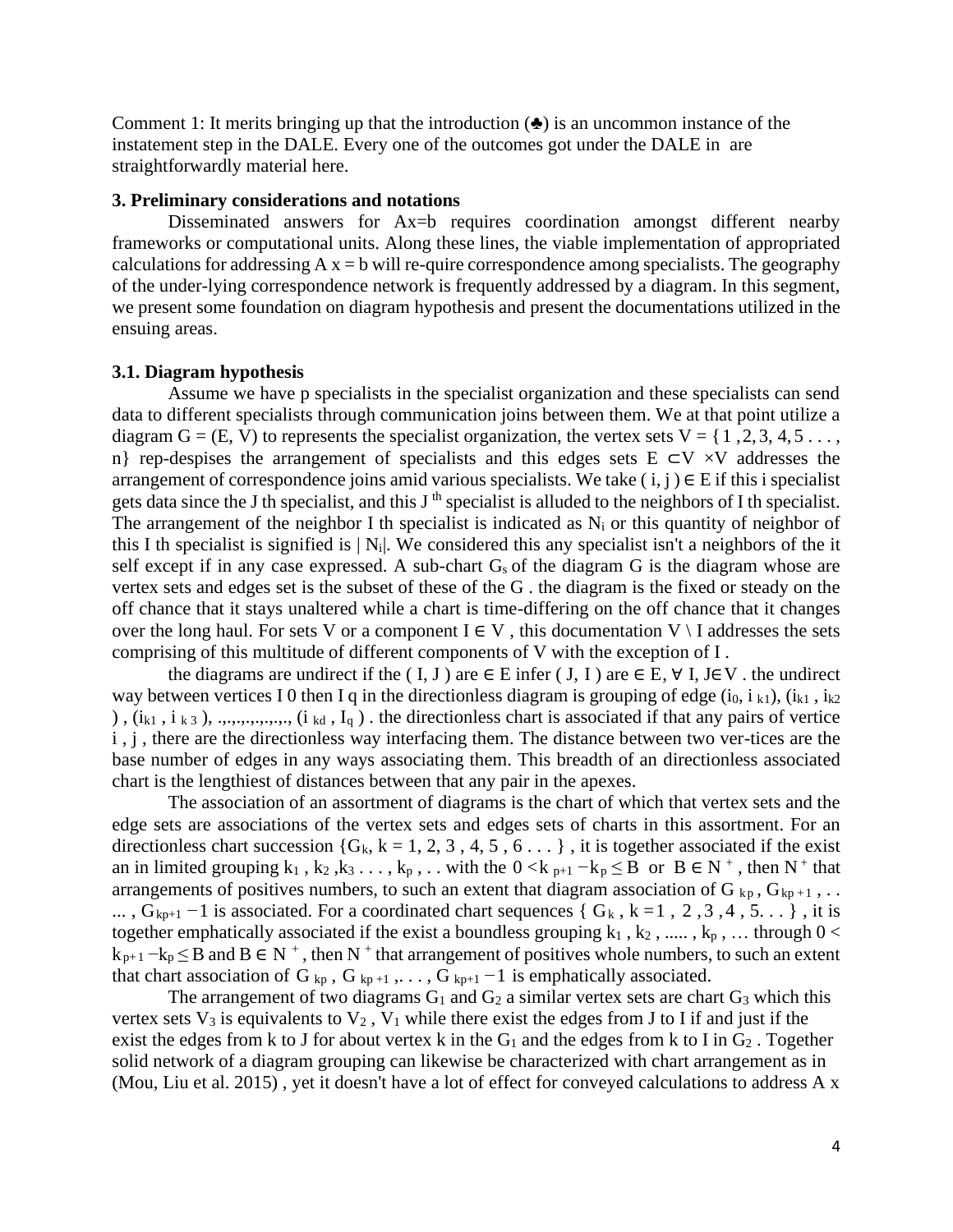Comment 1: It merits bringing up that the introduction  $(\triangle)$  is an uncommon instance of the instatement step in the DALE. Every one of the outcomes got under the DALE in are straightforwardly material here.

## **3. Preliminary considerations and notations**

Disseminated answers for Ax=b requires coordination amongst different nearby frameworks or computational units. Along these lines, the viable implementation of appropriated calculations for addressing  $A x = b$  will re-quire correspondence among specialists. The geography of the under-lying correspondence network is frequently addressed by a diagram. In this segment, we present some foundation on diagram hypothesis and present the documentations utilized in the ensuing areas.

## **3.1. Diagram hypothesis**

Assume we have p specialists in the specialist organization and these specialists can send data to different specialists through communication joins between them. We at that point utilize a diagram G = (E, V) to represents the specialist organization, the vertex sets  $V = \{1, 2, 3, 4, 5 \ldots,$ n} rep-despises the arrangement of specialists and this edges sets E ⊂V ×V addresses the arrangement of correspondence joins amid various specialists. We take  $(i, j) \in E$  if this i specialist gets data since the J th specialist, and this J<sup>th</sup> specialist is alluded to the neighbors of I th specialist. The arrangement of the neighbor I th specialist is indicated as  $N_i$  or this quantity of neighbor of this I th specialist is signified is  $|N_i|$ . We considered this any specialist isn't a neighbors of the it self except if in any case expressed. A sub-chart  $G_s$  of the diagram  $G$  is the diagram whose are vertex sets and edges set is the subset of these of the G . the diagram is the fixed or steady on the off chance that it stays unaltered while a chart is time-differing on the off chance that it changes over the long haul. For sets V or a component  $I \in V$ , this documentation V \ I addresses the sets comprising of this multitude of different components of V with the exception of I .

the diagrams are undirect if the (I, J) are  $\in$  E infer (I, I) are  $\in$  E,  $\forall$  I, J $\in$ V . the undirect way between vertices I 0 then I q in the directionless diagram is grouping of edge  $(i_0, i_{k1})$ ,  $(i_{k1}, i_{k2})$ ),  $(i_{k1}, i_{k3})$ , ...,.,.,.,.,.,  $(i_{kd}, I_q)$ . the directionless chart is associated if that any pairs of vertice i , j , there are the directionless way interfacing them. The distance between two ver-tices are the base number of edges in any ways associating them. This breadth of an directionless associated chart is the lengthiest of distances between that any pair in the apexes.

The association of an assortment of diagrams is the chart of which that vertex sets and the edge sets are associations of the vertex sets and edges sets of charts in this assortment. For an directionless chart succession  $\{G_k, k = 1, 2, 3, 4, 5, 6 \dots\}$ , it is together associated if the exist an in limited grouping  $k_1$ ,  $k_2$ , $k_3$ , ..., $k_p$ , ... with the  $0 \lt k_{p+1} - k_p \leq B$  or  $B \in N^+$ , then  $N^+$  that arrangements of positives numbers, to such an extent that diagram association of G  $_{kp}$ , G<sub>kp+1</sub>, . . ...,  $G_{kp+1}$  −1 is associated. For a coordinated chart sequences {  $G_k$ ,  $k = 1, 2, 3, 4, 5...$  }, it is together emphatically associated if the exist a boundless grouping  $k_1$ ,  $k_2$ , ....,  $k_p$ , ... through  $0 <$  $k_{p+1} - k_p \leq B$  and  $B \in N^+$ , then N<sup>+</sup> that arrangement of positives whole numbers, to such an extent that chart association of G  $_{kp}$ , G  $_{kp+1}$ ,..., G  $_{kp+1}$  -1 is emphatically associated.

The arrangement of two diagrams  $G_1$  and  $G_2$  a similar vertex sets are chart  $G_3$  which this vertex sets  $V_3$  is equivalents to  $V_2$ ,  $V_1$  while there exist the edges from J to I if and just if the exist the edges from k to J for about vertex k in the  $G_1$  and the edges from k to I in  $G_2$ . Together solid network of a diagram grouping can likewise be characterized with chart arrangement as in (Mou, Liu et al. 2015) , yet it doesn't have a lot of effect for conveyed calculations to address A x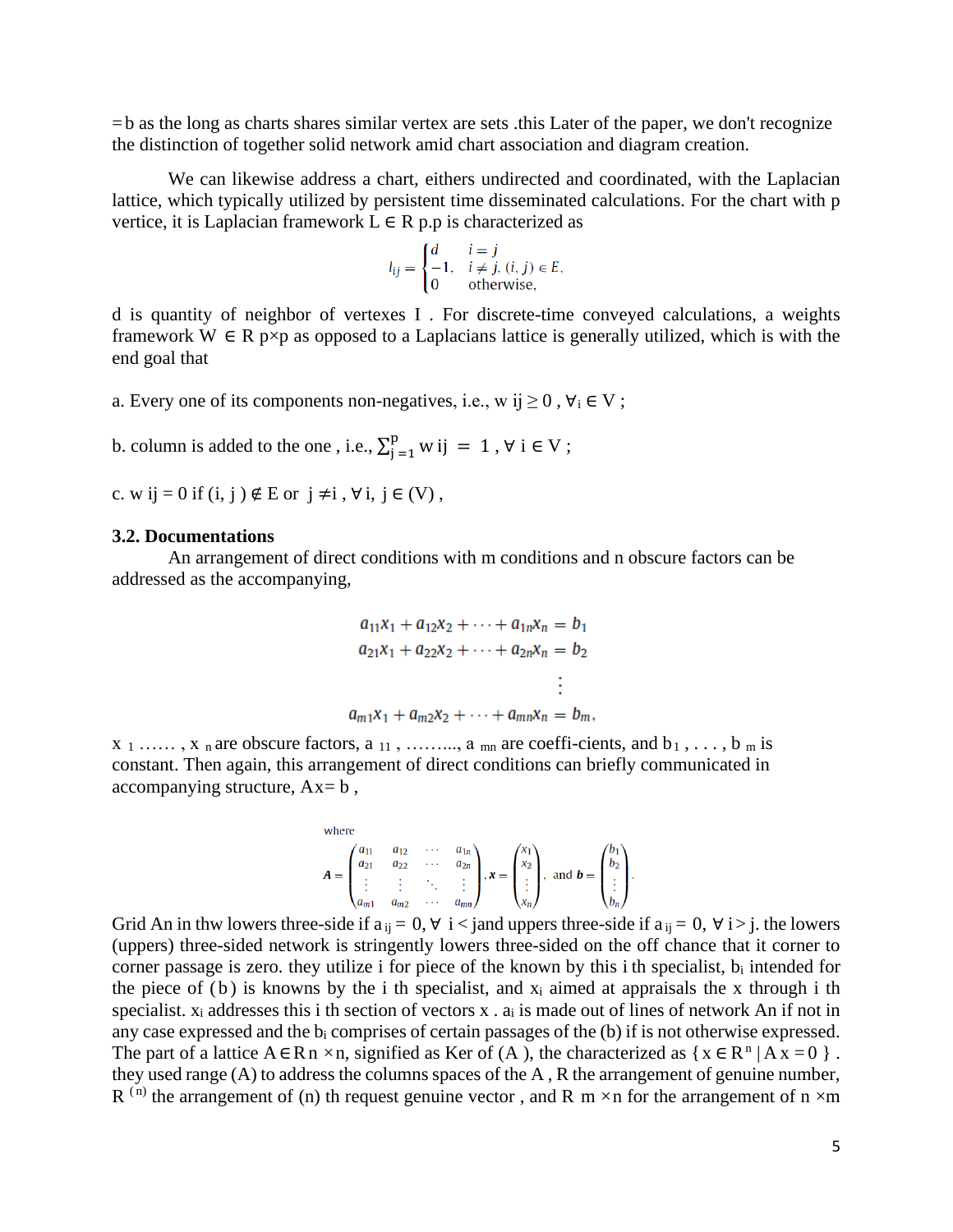$=$ b as the long as charts shares similar vertex are sets .this Later of the paper, we don't recognize the distinction of together solid network amid chart association and diagram creation.

We can likewise address a chart, eithers undirected and coordinated, with the Laplacian lattice, which typically utilized by persistent time disseminated calculations. For the chart with p vertice, it is Laplacian framework  $L \in R$  p.p is characterized as

$$
l_{ij} = \begin{cases} d & i = j \\ -1, & i \neq j, (i, j) \in E, \\ 0 & \text{otherwise,} \end{cases}
$$

d is quantity of neighbor of vertexes I . For discrete-time conveyed calculations, a weights framework W ∈ R p×p as opposed to a Laplacians lattice is generally utilized, which is with the end goal that

a. Every one of its components non-negatives, i.e., w ij  $\geq 0$ ,  $\forall$ <sub>i</sub>  $\in$  V;

b. column is added to the one, i.e.,  $\sum_{i=1}^{p} w_{ij} = 1$  $j_{j=1}^{p}$  w ij = 1,  $\forall$  i  $\in$  V;

c. w ij = 0 if  $(i, j) \notin E$  or  $j \neq i$ ,  $\forall i, j \in (V)$ ,

#### **3.2. Documentations**

An arrangement of direct conditions with m conditions and n obscure factors can be addressed as the accompanying,

$$
a_{11}x_1 + a_{12}x_2 + \cdots + a_{1n}x_n = b_1
$$
  
\n
$$
a_{21}x_1 + a_{22}x_2 + \cdots + a_{2n}x_n = b_2
$$
  
\n
$$
\vdots
$$
  
\n
$$
a_{m1}x_1 + a_{m2}x_2 + \cdots + a_{mn}x_n = b_m,
$$

 $x_1$  ……,  $x_n$  are obscure factors, a  $_{11}$ , ……, a<sub>nn</sub> are coeffi-cients, and  $b_1$ , ...,  $b_m$  is constant. Then again, this arrangement of direct conditions can briefly communicated in accompanying structure,  $Ax = b$ ,

where  
\n
$$
A = \begin{pmatrix} a_{11} & a_{12} & \cdots & a_{1n} \\ a_{21} & a_{22} & \cdots & a_{2n} \\ \vdots & \vdots & \ddots & \vdots \\ a_{m1} & a_{m2} & \cdots & a_{mn} \end{pmatrix}, x = \begin{pmatrix} x_1 \\ x_2 \\ \vdots \\ x_n \end{pmatrix}, \text{ and } b = \begin{pmatrix} b_1 \\ b_2 \\ \vdots \\ b_n \end{pmatrix}
$$

Grid An in thw lowers three-side if  $a_{ij} = 0$ ,  $\forall i$  i < jand uppers three-side if  $a_{ij} = 0$ ,  $\forall i$  i in the lowers (uppers) three-sided network is stringently lowers three-sided on the off chance that it corner to corner passage is zero. they utilize i for piece of the known by this i th specialist,  $b_i$  intended for the piece of (b) is knowns by the i th specialist, and  $x_i$  aimed at appraisals the x through i th specialist.  $x_i$  addresses this i th section of vectors  $x \cdot a_i$  is made out of lines of network An if not in any case expressed and the b<sup>i</sup> comprises of certain passages of the (b) if is not otherwise expressed. The part of a lattice A ∈Rn × n, signified as Ker of (A), the characterized as { $x \in R^n | A x = 0$  }. they used range (A) to address the columns spaces of the A , R the arrangement of genuine number, R <sup>(n)</sup> the arrangement of (n) th request genuine vector, and R m  $\times$ n for the arrangement of n  $\times$ m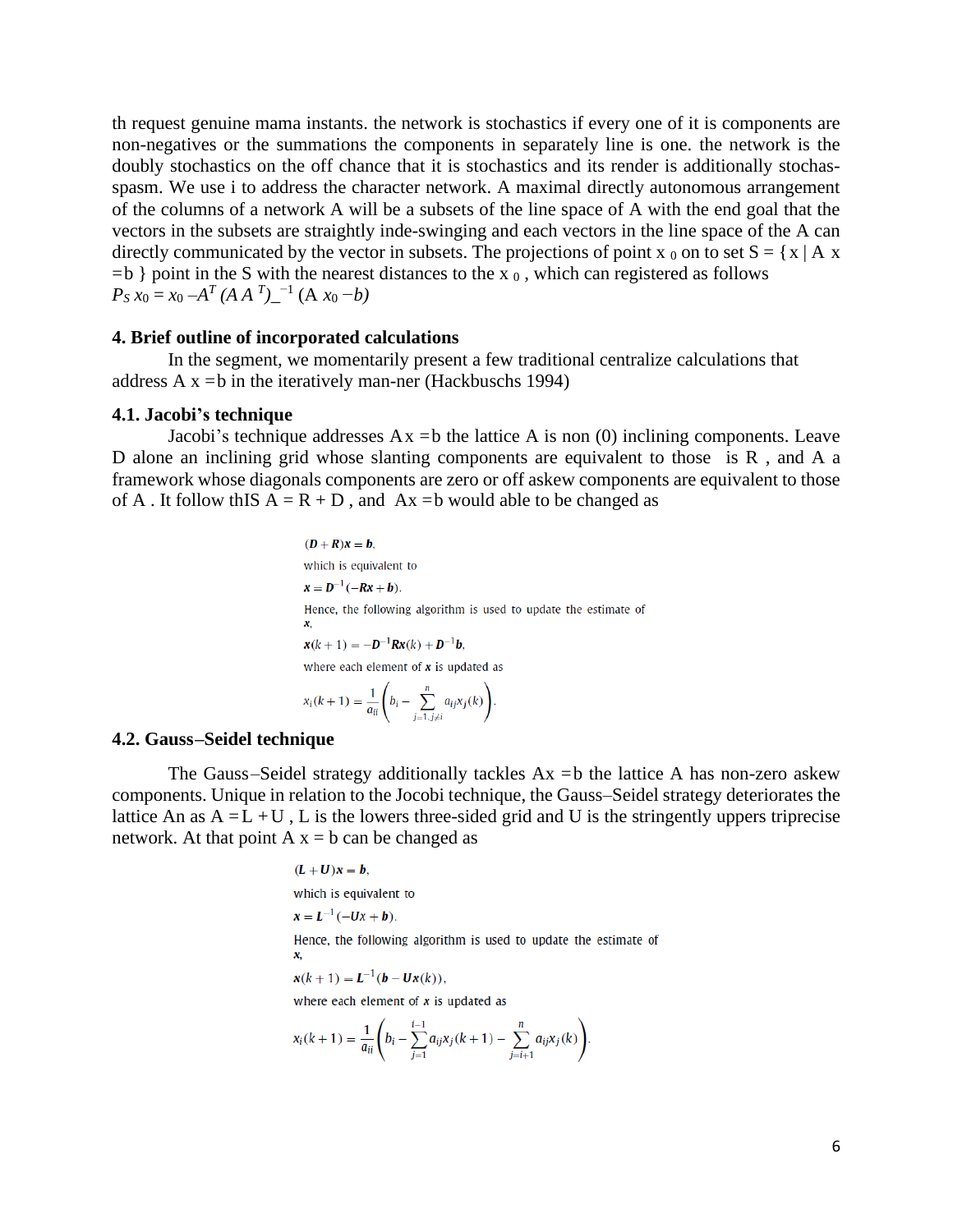th request genuine mama instants. the network is stochastics if every one of it is components are non-negatives or the summations the components in separately line is one. the network is the doubly stochastics on the off chance that it is stochastics and its render is additionally stochasspasm. We use i to address the character network. A maximal directly autonomous arrangement of the columns of a network A will be a subsets of the line space of A with the end goal that the vectors in the subsets are straightly inde-swinging and each vectors in the line space of the A can directly communicated by the vector in subsets. The projections of point x 0 on to set  $S = \{x \mid A \mid x\}$  $=$ b } point in the S with the nearest distances to the x  $<sub>0</sub>$ , which can registered as follows</sub>  $P_S x_0 = x_0 - A^T (A A^T)$ <sup>-1</sup> (A  $x_0 - b$ )

## **4. Brief<sup>s</sup> outline of incorporated calculations**

In the segment, we momentarily present a few traditional centralize calculations that address A  $x = b$  in the iteratively man-ner (Hackbuschs 1994)

#### **4.1. Jacobi's technique**

Jacobi's technique addresses  $Ax = b$  the lattice A is non (0) inclining components. Leave D alone an inclining grid whose slanting components are equivalent to those is R , and A a framework whose diagonals components are zero or off askew components are equivalent to those of A. It follow this  $A = R + D$ , and  $Ax = b$  would able to be changed as

> $(D+R)x = b$ . which is equivalent to  $x = D^{-1}(-Rx + b).$ Hence, the following algorithm is used to update the estimate of  $\mathbf{x}(k+1) = -\mathbf{D}^{-1} \mathbf{R} \mathbf{x}(k) + \mathbf{D}^{-1} \mathbf{b},$ where each element of  $x$  is updated as  $x_i(k+1) = \frac{1}{a_{ii}} \left( b_i - \sum_{j=1, j \neq i}^{n} a_{ij} x_j(k) \right).$

#### **4.2. Gausses–Seidel technique**

The Gauss–Seidel strategy additionally tackles  $Ax =b$  the lattice A has non-zero askew components. Unique in relation to the Jocobi technique, the Gauss–Seidel strategy deteriorates the lattice An as  $A = L + U$ , L is the lowers three-sided grid and U is the stringently uppers triprecise network. At that point  $A x = b$  can be changed as

> $(L+U)x = b$ , which is equivalent to  $x = L^{-1}(-Ux + b).$ Hence, the following algorithm is used to update the estimate of x.  $x(k+1) = L^{-1}(b - Ux(k)),$ where each element of  $x$  is updated as  $\overline{1}$  $\sim 10$  $\bar{ }$

$$
x_i(k+1) = \frac{1}{a_{ii}} \left( b_i - \sum_{j=1}^{i-1} a_{ij} x_j(k+1) - \sum_{j=i+1}^{n} a_{ij} x_j(k) \right).
$$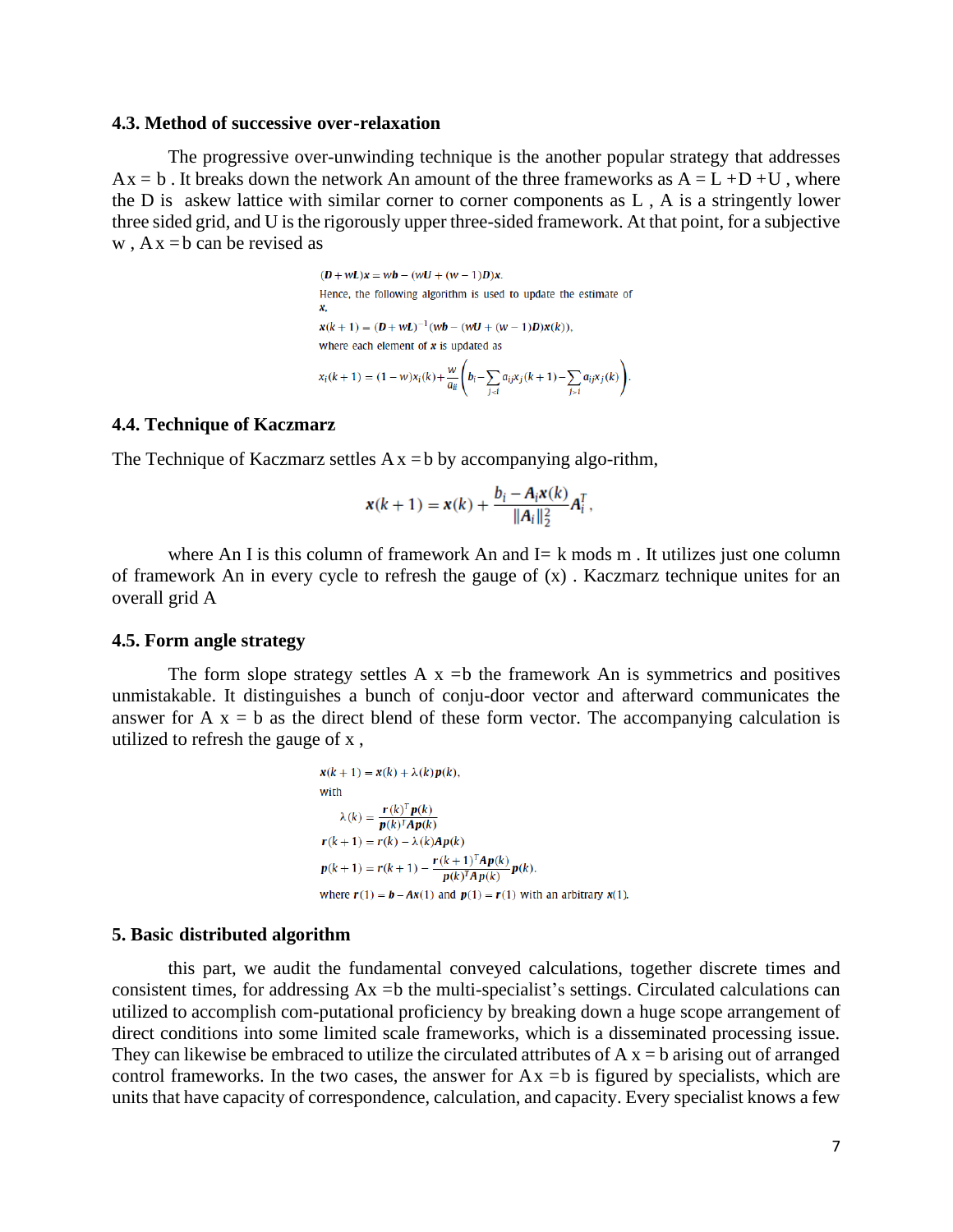### **4.3. Method of successive, overs-relaxation<sup>s</sup>**

The progressive over-unwinding technique is the another popular strategy that addresses  $Ax = b$ . It breaks down the network An amount of the three frameworks as  $A = L + D + U$ , where the D is askew lattice with similar corner to corner components as L , A is a stringently lower three sided grid, and U is the rigorously upper three-sided framework. At that point, for a subjective w,  $Ax = b$  can be revised as

> $(D + wL)x = wb - (wU + (w - 1)D)x.$ Hence, the following algorithm is used to update the estimate of  $\boldsymbol{x}$  $x(k + 1) = (D + wL)^{-1}(wb - (wU + (w – 1)D)x(k)),$ where each element of  $x$  is updated as  $x_i(k + 1) = (1 - w)x_i(k) + \frac{w}{a_{ii}} \left(b_i - \sum_{j < i} a_{ij}x_j(k + 1) - \sum_{j > i} a_{ij}x_j(k)\right).$

#### **4.4. Technique of Kaczmarz**

The Technique of Kaczmarz settles  $Ax = b$  by accompanying algo-rithm,

$$
\mathbf{x}(k+1) = \mathbf{x}(k) + \frac{b_i - A_i \mathbf{x}(k)}{\|A_i\|_2^2} A_i^T,
$$

where An I is this column of framework An and  $I = k$  mods m. It utilizes just one column of framework An in every cycle to refresh the gauge of (x) . Kaczmarz technique unites for an overall grid A

# **4.5. Form angle strategy**

The form slope strategy settles A  $x = b$  the framework An is symmetrics and positives unmistakable. It distinguishes a bunch of conju-door vector and afterward communicates the answer for A  $x = b$  as the direct blend of these form vector. The accompanying calculation is utilized to refresh the gauge of x ,

$$
\mathbf{x}(k+1) = \mathbf{x}(k) + \lambda(k)\mathbf{p}(k),
$$
  
with  

$$
\lambda(k) = \frac{\mathbf{r}(k)^T \mathbf{p}(k)}{\mathbf{p}(k)^T \mathbf{A} \mathbf{p}(k)}
$$

$$
\mathbf{r}(k+1) = \mathbf{r}(k) - \lambda(k)\mathbf{A}\mathbf{p}(k)
$$

$$
\mathbf{p}(k+1) = \mathbf{r}(k+1) - \frac{\mathbf{r}(k+1)^T \mathbf{A} \mathbf{p}(k)}{\mathbf{p}(k)^T \mathbf{A} \mathbf{p}(k)} \mathbf{p}(k).
$$
  
where  $\mathbf{r}(1) = \mathbf{b} - \mathbf{A}\mathbf{x}(1)$  and  $\mathbf{p}(1) = \mathbf{r}(1)$  with an arbitrary  $\mathbf{x}(1)$ .

## **5. Basic<sup>s</sup> distributed algorithm**

this part, we audit the fundamental conveyed calculations, together discrete times and consistent times, for addressing  $Ax = b$  the multi-specialist's settings. Circulated calculations can utilized to accomplish com-putational proficiency by breaking down a huge scope arrangement of direct conditions into some limited scale frameworks, which is a disseminated processing issue. They can likewise be embraced to utilize the circulated attributes of  $A x = b$  arising out of arranged control frameworks. In the two cases, the answer for  $Ax = b$  is figured by specialists, which are units that have capacity of correspondence, calculation, and capacity. Every specialist knows a few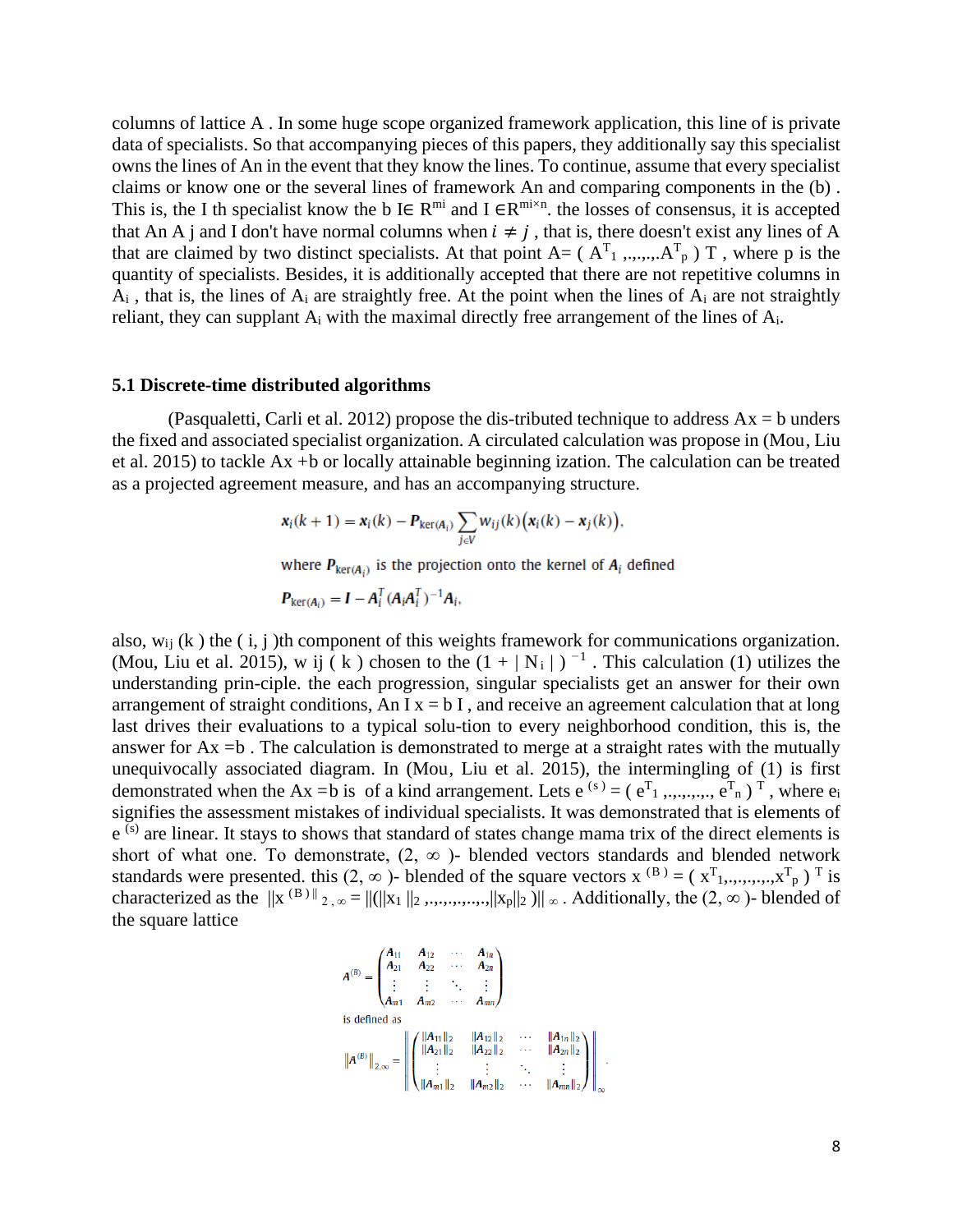columns of lattice A . In some huge scope organized framework application, this line of is private data of specialists. So that accompanying pieces of this papers, they additionally say this specialist owns the lines of An in the event that they know the lines. To continue, assume that every specialist claims or know one or the several lines of framework An and comparing components in the (b) . This is, the I th specialist know the b I $\in \mathbb{R}^{m_i}$  and I  $\in \mathbb{R}^{m_i \times n}$ . the losses of consensus, it is accepted that An A j and I don't have normal columns when  $i \neq j$ , that is, there doesn't exist any lines of A that are claimed by two distinct specialists. At that point  $A = (A^T_1, ..., A^T_p)$  T, where p is the quantity of specialists. Besides, it is additionally accepted that there are not repetitive columns in  $A_i$ , that is, the lines of  $A_i$  are straightly free. At the point when the lines of  $A_i$  are not straightly reliant, they can supplant  $A_i$  with the maximal directly free arrangement of the lines of  $A_i$ .

#### **5.1 Discrete-time distributed algorithms**

(Pasqualetti, Carli et al. 2012) propose the dis-tributed technique to address  $Ax = b$  unders the fixed and associated specialist organization. A circulated calculation was propose in (Mou**s**, Liu et al. 2015) to tackle  $Ax +b$  or locally attainable beginning ization. The calculation can be treated as a projected agreement measure, and has an accompanying structure.

$$
\boldsymbol{x}_i(k+1) = \boldsymbol{x}_i(k) - \boldsymbol{P}_{\text{ker}(\boldsymbol{A}_i)} \sum_{j \in V} w_{ij}(k) (\boldsymbol{x}_i(k) - \boldsymbol{x}_j(k)),
$$

where  $P_{\text{ker}(A_i)}$  is the projection onto the kernel of  $A_i$  defined

$$
P_{\text{ker}(A_i)} = I - A_i^{\text{I}} (A_i A_i^{\text{I}})^{-1} A_i,
$$

also, w<sub>ij</sub> (k) the (i, j)th component of this weights framework for communications organization. (Mou, Liu et al. 2015), w ij (k) chosen to the  $(1 + |N_i|)^{-1}$ . This calculation (1) utilizes the understanding prin-ciple. the each progression, singular specialists get an answer for their own arrangement of straight conditions, An I  $x = b$  I, and receive an agreement calculation that at long last drives their evaluations to a typical solu-tion to every neighborhood condition, this is, the answer for  $Ax = b$ . The calculation is demonstrated to merge at a straight rates with the mutually unequivocally associated diagram. In (Mou, Liu et al. 2015), the intermingling of (1) is first demonstrated when the Ax =b is of a kind arrangement. Lets  $e^{(s)} = (e^{T_1}, ..., ..., e^{T_n})^T$ , where  $e_i$ signifies the assessment mistakes of individual specialists. It was demonstrated that is elements of e <sup>(s)</sup> are linear. It stays to shows that standard of states change mama trix of the direct elements is short of what one. To demonstrate,  $(2, \infty)$ - blended vectors standards and blended network standards were presented. this  $(2, \infty)$ - blended of the square vectors  $x^{(B)} = (x^{T_1},...,...,x^{T_p})^{T}$  is characterized as the  $||x^{(B)||}_2$ ,  $\infty = ||(||x_1||_2$ ,..,.,.,.,.,,,|| $||x_p||_2$ )|| $\infty$ . Additionally, the (2,  $\infty$ )- blended of the square lattice

$$
A^{(B)} = \begin{pmatrix} A_{11} & A_{12} & \cdots & A_{1n} \\ A_{21} & A_{22} & \cdots & A_{2n} \\ \vdots & \vdots & \ddots & \vdots \\ A_{m1} & A_{m2} & \cdots & A_{mn} \end{pmatrix}
$$
  
is defined as  

$$
||A^{(B)}||_{2,\infty} = \begin{pmatrix} ||A_{11}||_2 & ||A_{12}||_2 & \cdots & ||A_{1n}||_2 \\ ||A_{21}||_2 & ||A_{22}||_2 & \cdots & ||A_{2n}||_2 \\ \vdots & \vdots & \ddots & \vdots \\ ||A_{m1}||_2 & ||A_{m2}||_2 & \cdots & ||A_{mn}||_2 \end{pmatrix} \Bigg|_{\infty}.
$$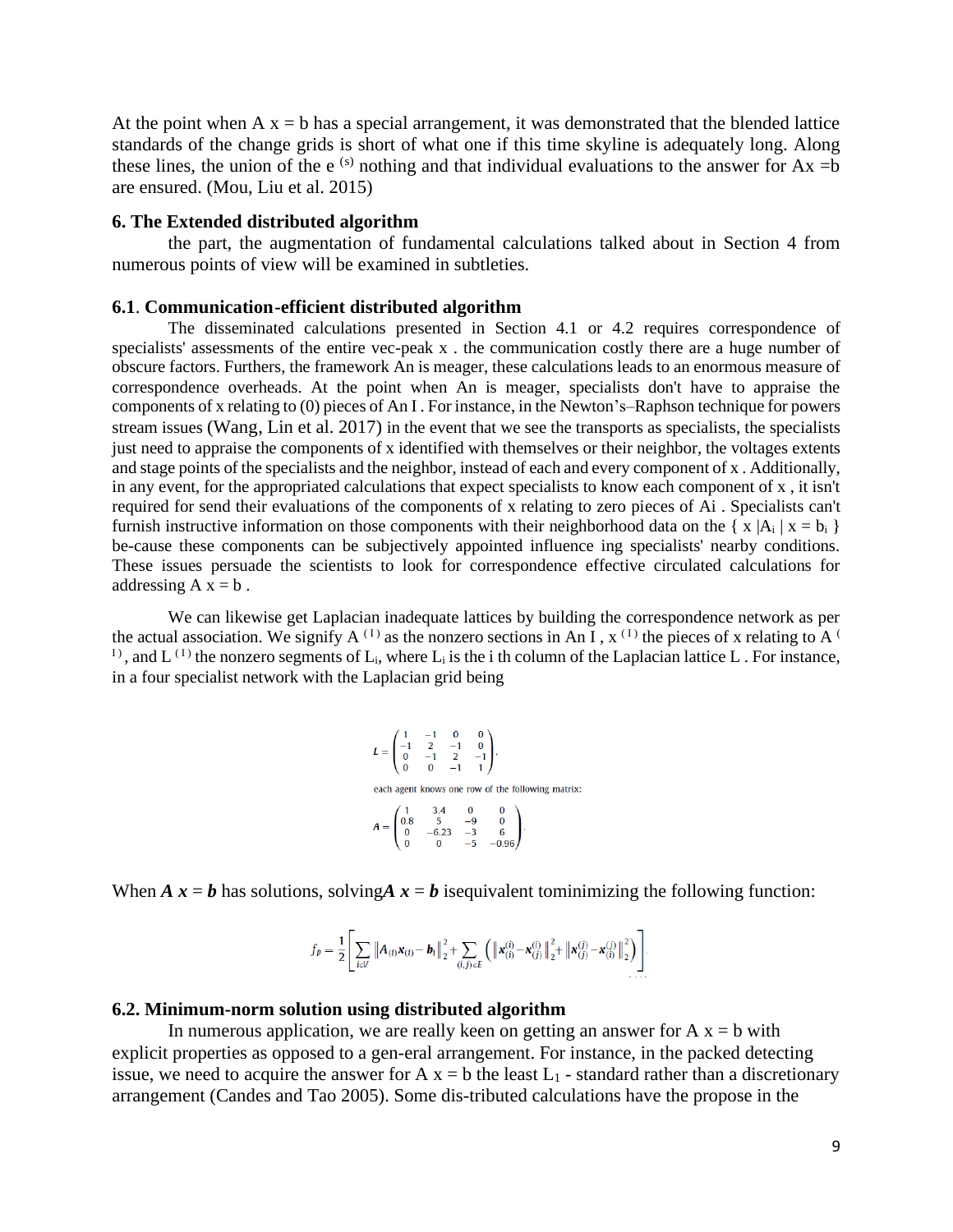At the point when  $A x = b$  has a special arrangement, it was demonstrated that the blended lattice standards of the change grids is short of what one if this time skyline is adequately long. Along these lines, the union of the e<sup>(s)</sup> nothing and that individual evaluations to the answer for  $Ax = b$ are ensured. (Mou, Liu et al. 2015)

#### **6. The Extended distributed algorithm**

the part, the augmentation of fundamental calculations talked about in Section 4 from numerous points of view will be examined in subtleties.

## **6.1**. **Communications-efficient distributed algorithm**

The disseminated calculations presented in Section 4.1 or 4.2 requires correspondence of specialists' assessments of the entire vec-peak x . the communication costly there are a huge number of obscure factors. Furthers, the framework An is meager, these calculations leads to an enormous measure of correspondence overheads. At the point when An is meager, specialists don't have to appraise the components of x relating to (0) pieces of An I . For instance, in the Newton's–Raphson technique for powers stream issues (Wang, Lin et al. 2017) in the event that we see the transports as specialists, the specialists just need to appraise the components of x identified with themselves or their neighbor, the voltages extents and stage points of the specialists and the neighbor, instead of each and every component of x . Additionally, in any event, for the appropriated calculations that expect specialists to know each component of x , it isn't required for send their evaluations of the components of x relating to zero pieces of Ai . Specialists can't furnish instructive information on those components with their neighborhood data on the {  $x |A_i | x = b_i$  } be-cause these components can be subjectively appointed influence ing specialists' nearby conditions. These issues persuade the scientists to look for correspondence effective circulated calculations for addressing  $A x = b$ .

We can likewise get Laplacian inadequate lattices by building the correspondence network as per the actual association. We signify A <sup>(I)</sup> as the nonzero sections in An I, x<sup>(I)</sup> the pieces of x relating to A<sup>(</sup> <sup>I</sup>), and L<sup>(I)</sup> the nonzero segments of L<sub>i</sub>, where L<sub>i</sub> is the i th column of the Laplacian lattice L. For instance, in a four specialist network with the Laplacian grid being



When  $A x = b$  has solutions, solving  $A x = b$  isequivalent tominimizing the following function:

$$
f_p = \frac{1}{2} \left[ \sum_{i \in V} \left\| \mathbf{A}_{(i)} \mathbf{x}_{(i)} - \mathbf{b}_{i} \right\|_{2}^{2} + \sum_{(i,j) \in E} \left( \left\| \mathbf{x}_{(i)}^{(i)} - \mathbf{x}_{(j)}^{(i)} \right\|_{2}^{2} + \left\| \mathbf{x}_{(j)}^{(j)} - \mathbf{x}_{(i)}^{(j)} \right\|_{2}^{2} \right) \right],
$$

# **6.2. Minimum-norm solution using distributed algorithm**

In numerous application, we are really keen on getting an answer for  $A x = b$  with explicit properties as opposed to a gen-eral arrangement. For instance, in the packed detecting issue, we need to acquire the answer for  $A x = b$  the least  $L_1$  - standard rather than a discretionary arrangement (Candes and Tao 2005). Some dis-tributed calculations have the propose in the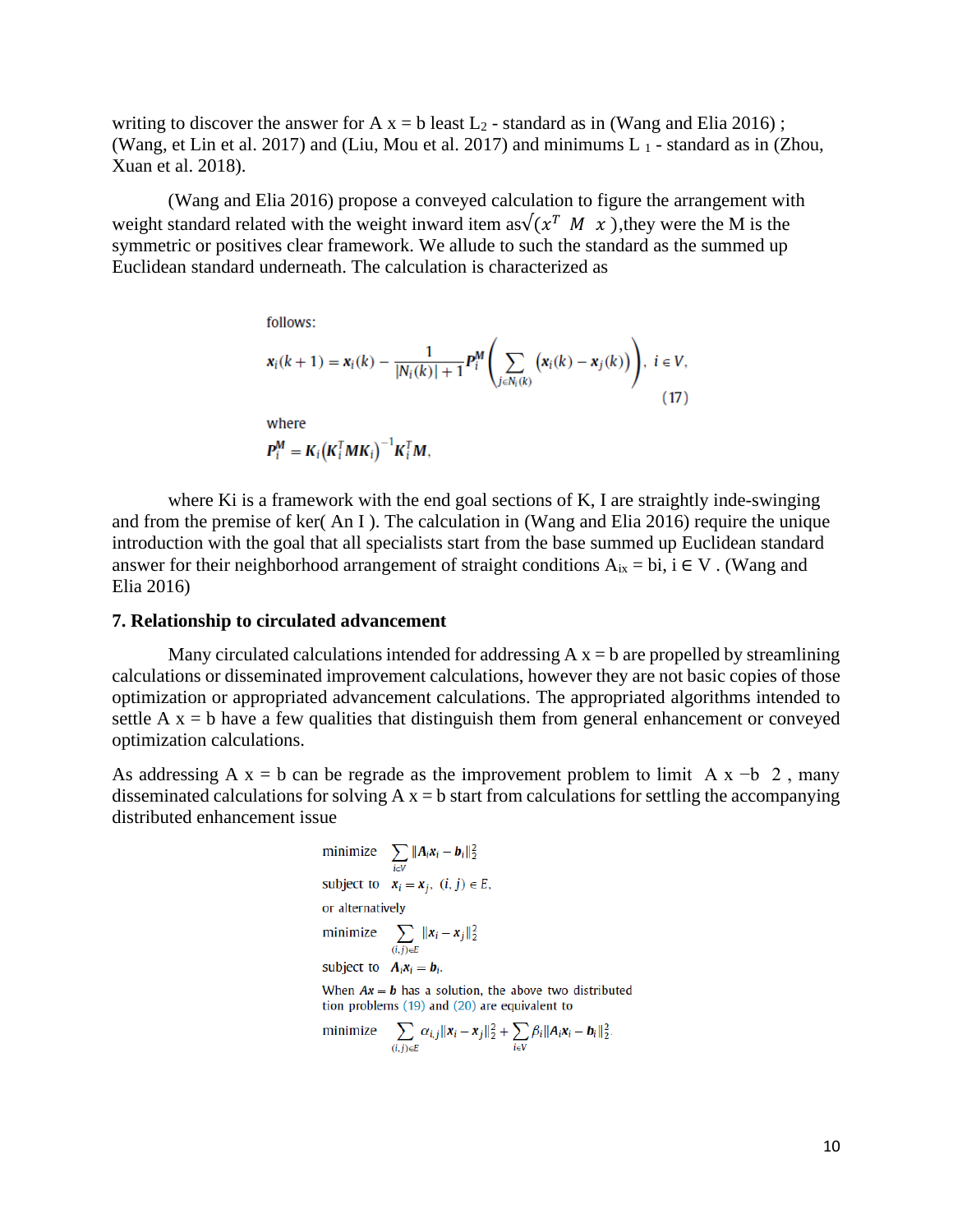writing to discover the answer for A  $x = b$  least  $L_2$  - standard as in (Wang and Elia 2016); (Wang, et Lin et al. 2017) and (Liu, Mou et al. 2017) and minimums  $L_1$  - standard as in (Zhou, Xuan et al. 2018).

(Wang and Elia 2016) propose a conveyed calculation to figure the arrangement with weight standard related with the weight inward item as $\sqrt{(x^T M x)}$ , they were the M is the symmetric or positives clear framework. We allude to such the standard as the summed up Euclidean standard underneath. The calculation is characterized as

follows:

$$
\mathbf{x}_{i}(k+1) = \mathbf{x}_{i}(k) - \frac{1}{|N_{i}(k)|+1} \mathbf{P}_{i}^{M} \left( \sum_{j \in N_{i}(k)} (\mathbf{x}_{i}(k) - \mathbf{x}_{j}(k)) \right), \ i \in V,
$$
\n(17)

where

 $P_i^M = K_i(K_i^T MK_i)^{-1}K_i^T M,$ 

where Ki is a framework with the end goal sections of K, I are straightly inde-swinging and from the premise of ker( An I ). The calculation in (Wang and Elia 2016) require the unique introduction with the goal that all specialists start from the base summed up Euclidean standard answer for their neighborhood arrangement of straight conditions  $A_{ix} = bi$ ,  $i \in V$ . (Wang and Elia 2016)

## **7. Relationship to circulated advancement**

Many circulated calculations intended for addressing  $A x = b$  are propelled by streamlining calculations or disseminated improvement calculations, however they are not basic copies of those optimization or appropriated advancement calculations. The appropriated algorithms intended to settle A  $x = b$  have a few qualities that distinguish them from general enhancement or conveyed optimization calculations.

As addressing A  $x = b$  can be regrade as the improvement problem to limit A  $x - b$  2, many disseminated calculations for solving  $A x = b$  start from calculations for settling the accompanying distributed enhancement issue

minimize 
$$
\sum_{i \in V} ||A_i x_i - b_i||_2^2
$$
  
subject to 
$$
\mathbf{x}_i = \mathbf{x}_j, \quad (i, j) \in E,
$$
  
or alternatively  
minimize 
$$
\sum_{(i,j) \in E} ||\mathbf{x}_i - \mathbf{x}_j||_2^2
$$
  
subject to 
$$
A_i \mathbf{x}_i = \mathbf{b}_i.
$$
  
When  $A\mathbf{x} = \mathbf{b}$  has a solution, the above two distributed  
tion problems (19) and (20) are equivalent to  
minimize 
$$
\sum_{(i,j) \in E} \alpha_{i,j} ||\mathbf{x}_i - \mathbf{x}_j||_2^2 + \sum_{i \in V} \beta_i ||A_i \mathbf{x}_i - \mathbf{b}_i||_2^2.
$$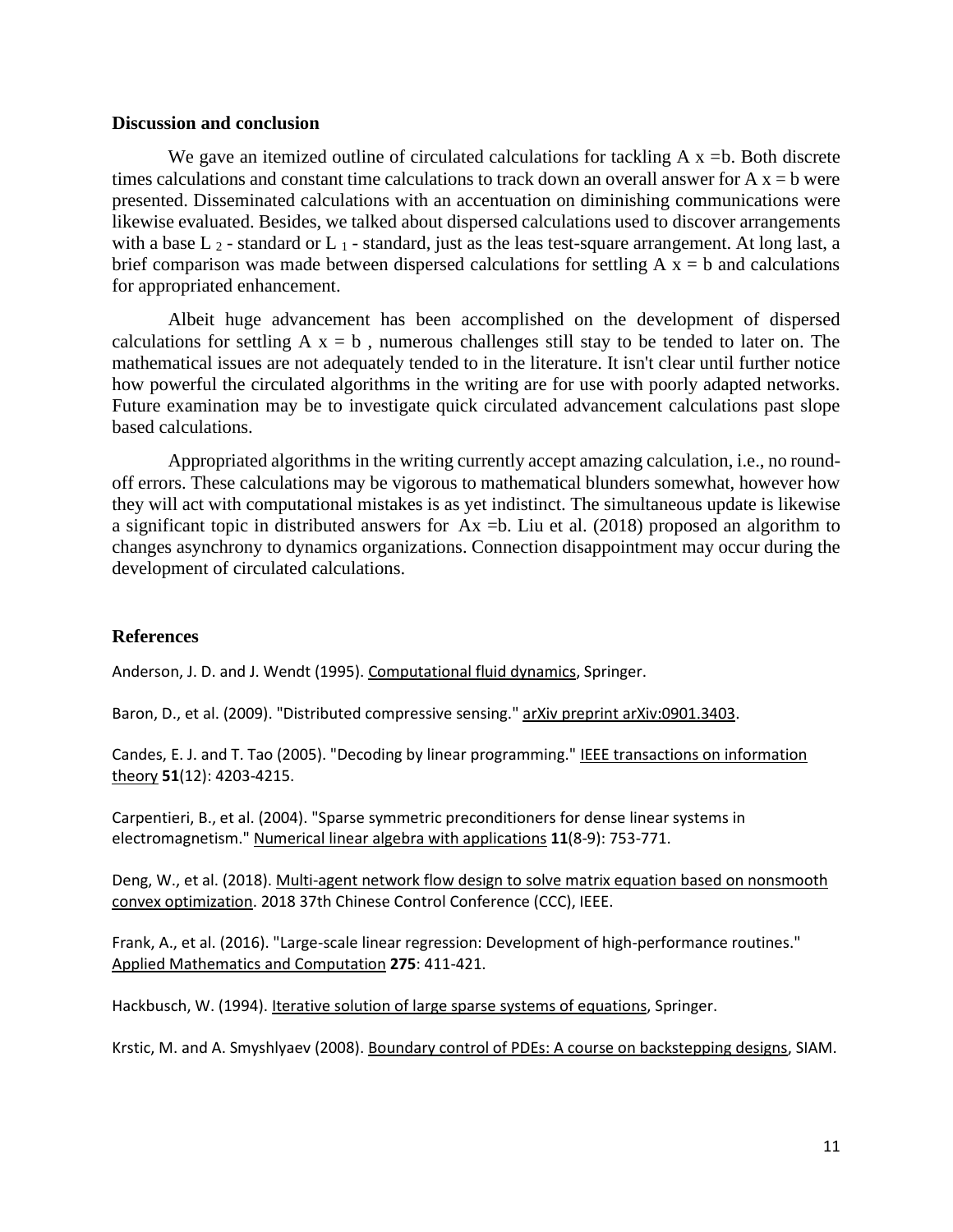## **Discussion and conclusion**

We gave an itemized outline of circulated calculations for tackling  $A x = b$ . Both discrete times calculations and constant time calculations to track down an overall answer for  $A x = b$  were presented. Disseminated calculations with an accentuation on diminishing communications were likewise evaluated. Besides, we talked about dispersed calculations used to discover arrangements with a base  $L_2$  - standard or  $L_1$  - standard, just as the leas test-square arrangement. At long last, a brief comparison was made between dispersed calculations for settling  $A x = b$  and calculations for appropriated enhancement.

Albeit huge advancement has been accomplished on the development of dispersed calculations for settling  $A x = b$ , numerous challenges still stay to be tended to later on. The mathematical issues are not adequately tended to in the literature. It isn't clear until further notice how powerful the circulated algorithms in the writing are for use with poorly adapted networks. Future examination may be to investigate quick circulated advancement calculations past slope based calculations.

Appropriated algorithms in the writing currently accept amazing calculation, i.e., no roundoff errors. These calculations may be vigorous to mathematical blunders somewhat, however how they will act with computational mistakes is as yet indistinct. The simultaneous update is likewise a significant topic in distributed answers for Ax  $=$ b. Liu et al. (2018) proposed an algorithm to changes asynchrony to dynamics organizations. Connection disappointment may occur during the development of circulated calculations.

# **References**

Anderson, J. D. and J. Wendt (1995). Computational fluid dynamics, Springer.

Baron, D., et al. (2009). "Distributed compressive sensing." arXiv preprint arXiv:0901.3403.

Candes, E. J. and T. Tao (2005). "Decoding by linear programming." IEEE transactions on information theory **51**(12): 4203-4215.

Carpentieri, B., et al. (2004). "Sparse symmetric preconditioners for dense linear systems in electromagnetism." Numerical linear algebra with applications **11**(8‐9): 753-771.

Deng, W., et al. (2018). Multi-agent network flow design to solve matrix equation based on nonsmooth convex optimization. 2018 37th Chinese Control Conference (CCC), IEEE.

Frank, A., et al. (2016). "Large-scale linear regression: Development of high-performance routines." Applied Mathematics and Computation **275**: 411-421.

Hackbusch, W. (1994). Iterative solution of large sparse systems of equations, Springer.

Krstic, M. and A. Smyshlyaev (2008). Boundary control of PDEs: A course on backstepping designs, SIAM.